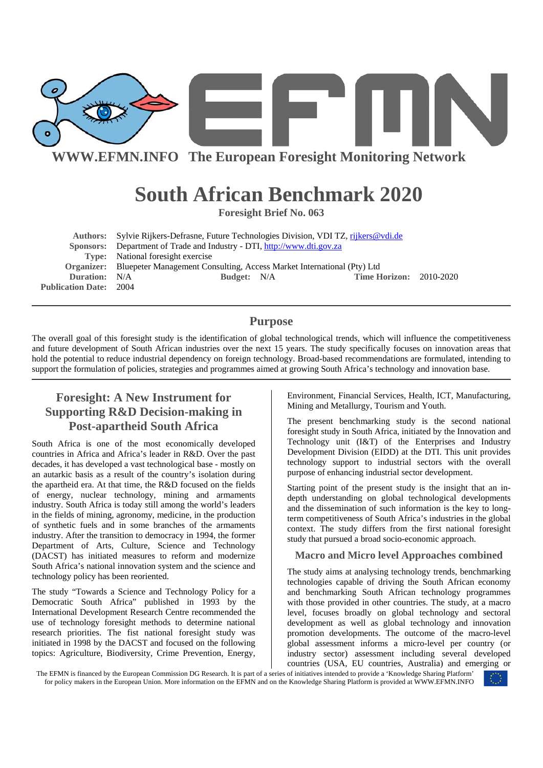

**WWW.EFMN.INFO The European Foresight Monitoring Network**

# **South African Benchmark 2020**

**Foresight Brief No. 063** 

|                               | <b>Authors:</b> Sylvie Rijkers-Defrasne, Future Technologies Division, VDI TZ, rijkers@vdi.de |  |                                |  |
|-------------------------------|-----------------------------------------------------------------------------------------------|--|--------------------------------|--|
|                               | Sponsors: Department of Trade and Industry - DTI, http://www.dti.gov.za                       |  |                                |  |
|                               | <b>Type:</b> National foresight exercise                                                      |  |                                |  |
|                               | Organizer: Bluepeter Management Consulting, Access Market International (Pty) Ltd             |  |                                |  |
| Duration: N/A                 | Budget: N/A                                                                                   |  | <b>Time Horizon: 2010-2020</b> |  |
| <b>Publication Date: 2004</b> |                                                                                               |  |                                |  |

### **Purpose**

The overall goal of this foresight study is the identification of global technological trends, which will influence the competitiveness and future development of South African industries over the next 15 years. The study specifically focuses on innovation areas that hold the potential to reduce industrial dependency on foreign technology. Broad-based recommendations are formulated, intending to support the formulation of policies, strategies and programmes aimed at growing South Africa's technology and innovation base.

## **Foresight: A New Instrument for Supporting R&D Decision-making in Post-apartheid South Africa**

South Africa is one of the most economically developed countries in Africa and Africa's leader in R&D. Over the past decades, it has developed a vast technological base - mostly on an autarkic basis as a result of the country's isolation during the apartheid era. At that time, the R&D focused on the fields of energy, nuclear technology, mining and armaments industry. South Africa is today still among the world's leaders in the fields of mining, agronomy, medicine, in the production of synthetic fuels and in some branches of the armaments industry. After the transition to democracy in 1994, the former Department of Arts, Culture, Science and Technology (DACST) has initiated measures to reform and modernize South Africa's national innovation system and the science and technology policy has been reoriented.

The study "Towards a Science and Technology Policy for a Democratic South Africa" published in 1993 by the International Development Research Centre recommended the use of technology foresight methods to determine national research priorities. The fist national foresight study was initiated in 1998 by the DACST and focused on the following topics: Agriculture, Biodiversity, Crime Prevention, Energy,

Environment, Financial Services, Health, ICT, Manufacturing, Mining and Metallurgy, Tourism and Youth.

The present benchmarking study is the second national foresight study in South Africa, initiated by the Innovation and Technology unit (I&T) of the Enterprises and Industry Development Division (EIDD) at the DTI. This unit provides technology support to industrial sectors with the overall purpose of enhancing industrial sector development.

Starting point of the present study is the insight that an indepth understanding on global technological developments and the dissemination of such information is the key to longterm competitiveness of South Africa's industries in the global context. The study differs from the first national foresight study that pursued a broad socio-economic approach.

#### **Macro and Micro level Approaches combined**

The study aims at analysing technology trends, benchmarking technologies capable of driving the South African economy and benchmarking South African technology programmes with those provided in other countries. The study, at a macro level, focuses broadly on global technology and sectoral development as well as global technology and innovation promotion developments. The outcome of the macro-level global assessment informs a micro-level per country (or industry sector) assessment including several developed countries (USA, EU countries, Australia) and emerging or

The EFMN is financed by the European Commission DG Research. It is part of a series of initiatives intended to provide a 'Knowledge Sharing Platform' for policy makers in the European Union. More information on the EFMN and on the Knowledge Sharing Platform is provided at WWW.EFMN.INFO

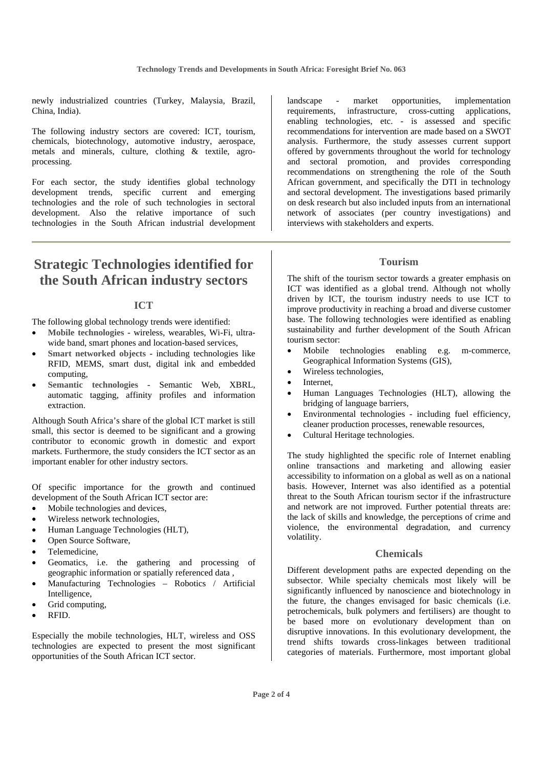newly industrialized countries (Turkey, Malaysia, Brazil, China, India).

The following industry sectors are covered: ICT, tourism, chemicals, biotechnology, automotive industry, aerospace, metals and minerals, culture, clothing & textile, agroprocessing.

For each sector, the study identifies global technology development trends, specific current and emerging technologies and the role of such technologies in sectoral development. Also the relative importance of such technologies in the South African industrial development

## **Strategic Technologies identified for the South African industry sectors**

#### **ICT**

The following global technology trends were identified:

- **Mobile technologies** wireless, wearables, Wi-Fi, ultrawide band, smart phones and location-based services,
- **Smart networked objects** including technologies like RFID, MEMS, smart dust, digital ink and embedded computing,
- **Semantic technologies** Semantic Web, XBRL, automatic tagging, affinity profiles and information extraction.

Although South Africa's share of the global ICT market is still small, this sector is deemed to be significant and a growing contributor to economic growth in domestic and export markets. Furthermore, the study considers the ICT sector as an important enabler for other industry sectors.

Of specific importance for the growth and continued development of the South African ICT sector are:

- Mobile technologies and devices,
- Wireless network technologies,
- Human Language Technologies (HLT),
- Open Source Software,
- Telemedicine,
- Geomatics, i.e. the gathering and processing of geographic information or spatially referenced data ,
- Manufacturing Technologies Robotics / Artificial Intelligence,
- Grid computing.
- RFID.

Especially the mobile technologies, HLT, wireless and OSS technologies are expected to present the most significant opportunities of the South African ICT sector.

landscape - market opportunities, implementation requirements, infrastructure, cross-cutting applications, enabling technologies, etc. - is assessed and specific recommendations for intervention are made based on a SWOT analysis. Furthermore, the study assesses current support offered by governments throughout the world for technology and sectoral promotion, and provides corresponding recommendations on strengthening the role of the South African government, and specifically the DTI in technology and sectoral development. The investigations based primarily on desk research but also included inputs from an international network of associates (per country investigations) and interviews with stakeholders and experts.

#### **Tourism**

The shift of the tourism sector towards a greater emphasis on ICT was identified as a global trend. Although not wholly driven by ICT, the tourism industry needs to use ICT to improve productivity in reaching a broad and diverse customer base. The following technologies were identified as enabling sustainability and further development of the South African tourism sector:

- Mobile technologies enabling e.g. m-commerce, Geographical Information Systems (GIS),
- Wireless technologies,
- Internet.
- Human Languages Technologies (HLT), allowing the bridging of language barriers,
- Environmental technologies including fuel efficiency, cleaner production processes, renewable resources,
- Cultural Heritage technologies.

The study highlighted the specific role of Internet enabling online transactions and marketing and allowing easier accessibility to information on a global as well as on a national basis. However, Internet was also identified as a potential threat to the South African tourism sector if the infrastructure and network are not improved. Further potential threats are: the lack of skills and knowledge, the perceptions of crime and violence, the environmental degradation, and currency volatility.

#### **Chemicals**

Different development paths are expected depending on the subsector. While specialty chemicals most likely will be significantly influenced by nanoscience and biotechnology in the future, the changes envisaged for basic chemicals (i.e. petrochemicals, bulk polymers and fertilisers) are thought to be based more on evolutionary development than on disruptive innovations. In this evolutionary development, the trend shifts towards cross-linkages between traditional categories of materials. Furthermore, most important global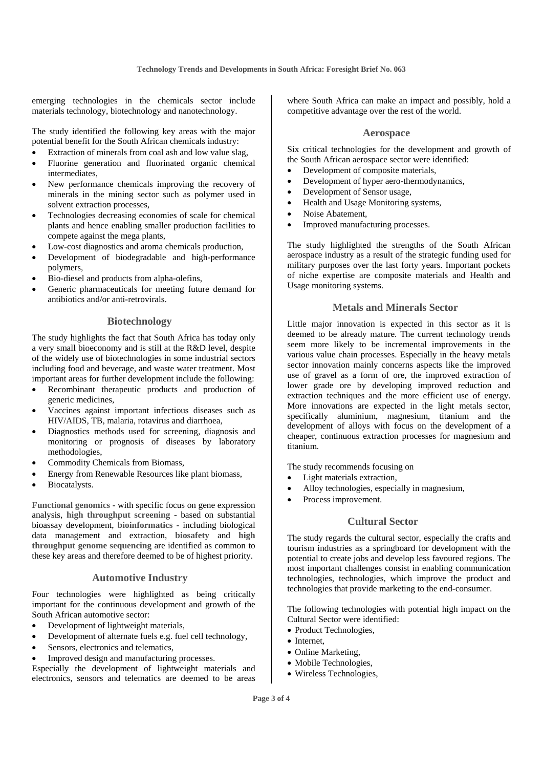emerging technologies in the chemicals sector include materials technology, biotechnology and nanotechnology.

The study identified the following key areas with the major potential benefit for the South African chemicals industry:

- Extraction of minerals from coal ash and low value slag,
- Fluorine generation and fluorinated organic chemical intermediates,
- New performance chemicals improving the recovery of minerals in the mining sector such as polymer used in solvent extraction processes,
- Technologies decreasing economies of scale for chemical plants and hence enabling smaller production facilities to compete against the mega plants,
- Low-cost diagnostics and aroma chemicals production,
- Development of biodegradable and high-performance polymers,
- Bio-diesel and products from alpha-olefins,
- Generic pharmaceuticals for meeting future demand for antibiotics and/or anti-retrovirals.

#### **Biotechnology**

The study highlights the fact that South Africa has today only a very small bioeconomy and is still at the R&D level, despite of the widely use of biotechnologies in some industrial sectors including food and beverage, and waste water treatment. Most important areas for further development include the following:

- Recombinant therapeutic products and production of generic medicines,
- Vaccines against important infectious diseases such as HIV/AIDS, TB, malaria, rotavirus and diarrhoea,
- Diagnostics methods used for screening, diagnosis and monitoring or prognosis of diseases by laboratory methodologies,
- Commodity Chemicals from Biomass,
- Energy from Renewable Resources like plant biomass,
- Biocatalysts.

**Functional genomics** - with specific focus on gene expression analysis, **high throughput screening** - based on substantial bioassay development, **bioinformatics** - including biological data management and extraction, **biosafety** and **high throughput genome sequencing** are identified as common to these key areas and therefore deemed to be of highest priority.

#### **Automotive Industry**

Four technologies were highlighted as being critically important for the continuous development and growth of the South African automotive sector:

- Development of lightweight materials,
- Development of alternate fuels e.g. fuel cell technology,
- Sensors, electronics and telematics,
- Improved design and manufacturing processes.

Especially the development of lightweight materials and electronics, sensors and telematics are deemed to be areas where South Africa can make an impact and possibly, hold a competitive advantage over the rest of the world.

#### **Aerospace**

Six critical technologies for the development and growth of the South African aerospace sector were identified:

- Development of composite materials,
- Development of hyper aero-thermodynamics,
- Development of Sensor usage,
- Health and Usage Monitoring systems,
- Noise Abatement,
- Improved manufacturing processes.

The study highlighted the strengths of the South African aerospace industry as a result of the strategic funding used for military purposes over the last forty years. Important pockets of niche expertise are composite materials and Health and Usage monitoring systems.

#### **Metals and Minerals Sector**

Little major innovation is expected in this sector as it is deemed to be already mature. The current technology trends seem more likely to be incremental improvements in the various value chain processes. Especially in the heavy metals sector innovation mainly concerns aspects like the improved use of gravel as a form of ore, the improved extraction of lower grade ore by developing improved reduction and extraction techniques and the more efficient use of energy. More innovations are expected in the light metals sector, specifically aluminium, magnesium, titanium and the development of alloys with focus on the development of a cheaper, continuous extraction processes for magnesium and titanium.

The study recommends focusing on

- Light materials extraction,
- Alloy technologies, especially in magnesium,
- Process improvement.

#### **Cultural Sector**

The study regards the cultural sector, especially the crafts and tourism industries as a springboard for development with the potential to create jobs and develop less favoured regions. The most important challenges consist in enabling communication technologies, technologies, which improve the product and technologies that provide marketing to the end-consumer.

The following technologies with potential high impact on the Cultural Sector were identified:

- Product Technologies,
- Internet,
- Online Marketing,
- Mobile Technologies,
- Wireless Technologies,